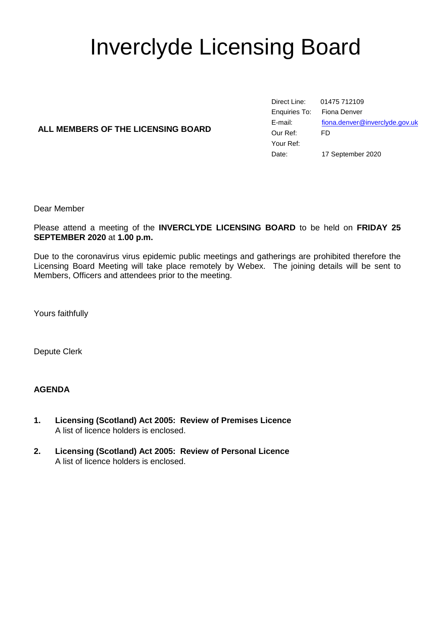# Inverclyde Licensing Board

# **ALL MEMBERS OF THE LICENSING BOARD**

Direct Line: 01475 712109 Enquiries To: Fiona Denver E-mail: [fiona.denver@inverclyde.gov.uk](mailto:fiona.denver@inverclyde.gov.uk) Our Ref: FD Your Ref: Date: 17 September 2020

Dear Member

Please attend a meeting of the **INVERCLYDE LICENSING BOARD** to be held on **FRIDAY 25 SEPTEMBER 2020** at **1.00 p.m.**

Due to the coronavirus virus epidemic public meetings and gatherings are prohibited therefore the Licensing Board Meeting will take place remotely by Webex. The joining details will be sent to Members, Officers and attendees prior to the meeting.

Yours faithfully

Depute Clerk

#### **AGENDA**

- **1. Licensing (Scotland) Act 2005: Review of Premises Licence** A list of licence holders is enclosed.
- **2. Licensing (Scotland) Act 2005: Review of Personal Licence** A list of licence holders is enclosed.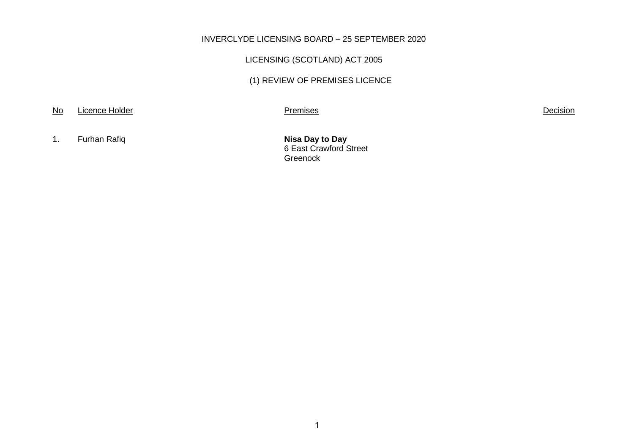### INVERCLYDE LICENSING BOARD – 25 SEPTEMBER 2020

# LICENSING (SCOTLAND) ACT 2005

# (1) REVIEW OF PREMISES LICENCE

No Licence Holder **Decision** 

1. Furhan Rafiq **Nisa Day to Day** 

6 East Crawford Street Greenock